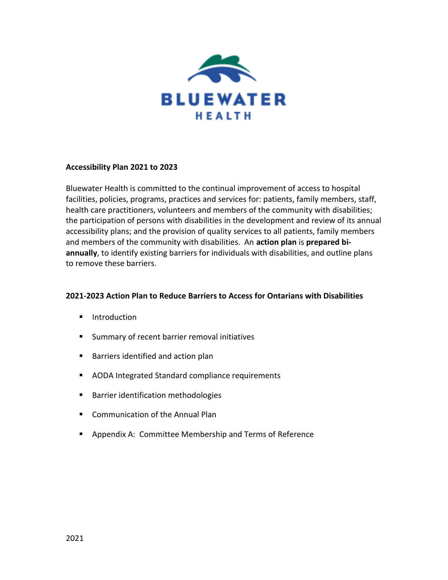

### **Accessibility Plan 2021 to 2023**

Bluewater Health is committed to the continual improvement of access to hospital facilities, policies, programs, practices and services for: patients, family members, staff, health care practitioners, volunteers and members of the community with disabilities; the participation of persons with disabilities in the development and review of its annual accessibility plans; and the provision of quality services to all patients, family members and members of the community with disabilities. An **action plan** is **prepared biannually**, to identify existing barriers for individuals with disabilities, and outline plans to remove these barriers.

### **2021-2023 Action Plan to Reduce Barriers to Access for Ontarians with Disabilities**

- **I** Introduction
- **Summary of recent barrier removal initiatives**
- **Barriers identified and action plan**
- **AODA Integrated Standard compliance requirements**
- **Barrier identification methodologies**
- **E** Communication of the Annual Plan
- **Appendix A: Committee Membership and Terms of Reference**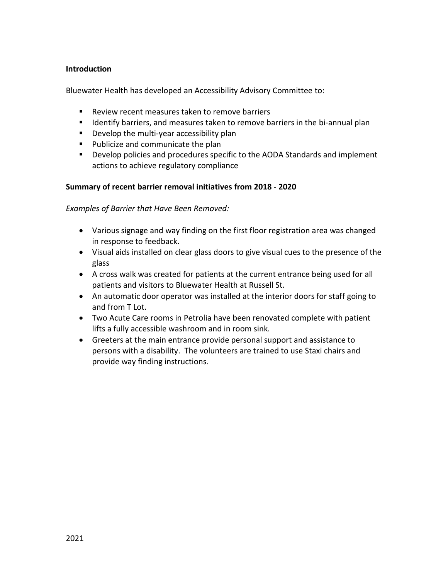### **Introduction**

Bluewater Health has developed an Accessibility Advisory Committee to:

- Review recent measures taken to remove barriers
- **If Identify barriers, and measures taken to remove barriers in the bi-annual plan**
- **Develop the multi-year accessibility plan**
- **Publicize and communicate the plan**
- **Develop policies and procedures specific to the AODA Standards and implement** actions to achieve regulatory compliance

### **Summary of recent barrier removal initiatives from 2018 - 2020**

*Examples of Barrier that Have Been Removed:*

- Various signage and way finding on the first floor registration area was changed in response to feedback.
- Visual aids installed on clear glass doors to give visual cues to the presence of the glass
- A cross walk was created for patients at the current entrance being used for all patients and visitors to Bluewater Health at Russell St.
- An automatic door operator was installed at the interior doors for staff going to and from T Lot.
- Two Acute Care rooms in Petrolia have been renovated complete with patient lifts a fully accessible washroom and in room sink.
- Greeters at the main entrance provide personal support and assistance to persons with a disability. The volunteers are trained to use Staxi chairs and provide way finding instructions.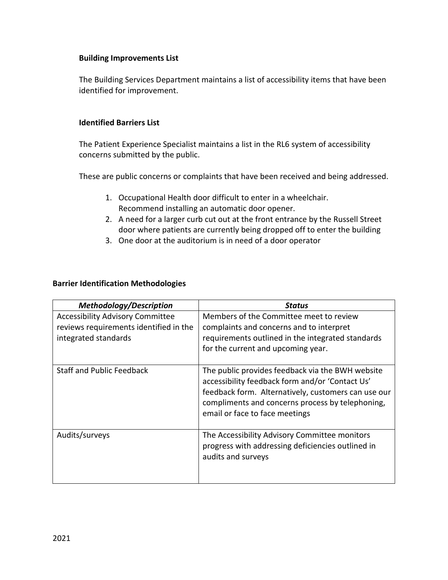### **Building Improvements List**

The Building Services Department maintains a list of accessibility items that have been identified for improvement.

### **Identified Barriers List**

The Patient Experience Specialist maintains a list in the RL6 system of accessibility concerns submitted by the public.

These are public concerns or complaints that have been received and being addressed.

- 1. Occupational Health door difficult to enter in a wheelchair. Recommend installing an automatic door opener.
- 2. A need for a larger curb cut out at the front entrance by the Russell Street door where patients are currently being dropped off to enter the building
- 3. One door at the auditorium is in need of a door operator

## **Barrier Identification Methodologies**

| <b>Methodology/Description</b>                                                                            | Status                                                                                                                                                                                                                                           |
|-----------------------------------------------------------------------------------------------------------|--------------------------------------------------------------------------------------------------------------------------------------------------------------------------------------------------------------------------------------------------|
| <b>Accessibility Advisory Committee</b><br>reviews requirements identified in the<br>integrated standards | Members of the Committee meet to review<br>complaints and concerns and to interpret<br>requirements outlined in the integrated standards<br>for the current and upcoming year.                                                                   |
| <b>Staff and Public Feedback</b>                                                                          | The public provides feedback via the BWH website<br>accessibility feedback form and/or 'Contact Us'<br>feedback form. Alternatively, customers can use our<br>compliments and concerns process by telephoning,<br>email or face to face meetings |
| Audits/surveys                                                                                            | The Accessibility Advisory Committee monitors<br>progress with addressing deficiencies outlined in<br>audits and surveys                                                                                                                         |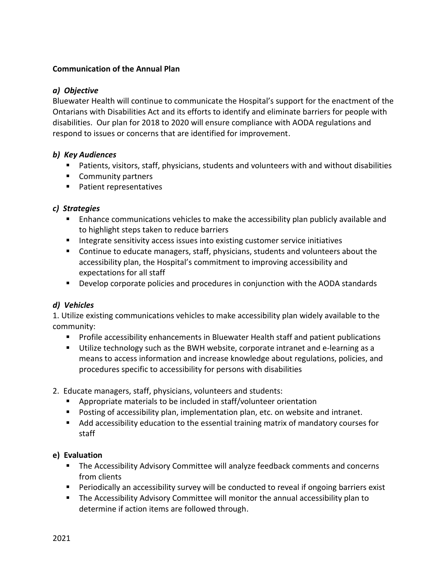## **Communication of the Annual Plan**

## *a) Objective*

Bluewater Health will continue to communicate the Hospital's support for the enactment of the Ontarians with Disabilities Act and its efforts to identify and eliminate barriers for people with disabilities. Our plan for 2018 to 2020 will ensure compliance with AODA regulations and respond to issues or concerns that are identified for improvement.

## *b) Key Audiences*

- Patients, visitors, staff, physicians, students and volunteers with and without disabilities
- **Community partners**
- Patient representatives

## *c) Strategies*

- **E** Enhance communications vehicles to make the accessibility plan publicly available and to highlight steps taken to reduce barriers
- **Integrate sensitivity access issues into existing customer service initiatives**
- Continue to educate managers, staff, physicians, students and volunteers about the accessibility plan, the Hospital's commitment to improving accessibility and expectations for all staff
- **Develop corporate policies and procedures in conjunction with the AODA standards**

# *d) Vehicles*

1. Utilize existing communications vehicles to make accessibility plan widely available to the community:

- **Profile accessibility enhancements in Bluewater Health staff and patient publications**
- Utilize technology such as the BWH website, corporate intranet and e-learning as a means to access information and increase knowledge about regulations, policies, and procedures specific to accessibility for persons with disabilities
- 2. Educate managers, staff, physicians, volunteers and students:
	- Appropriate materials to be included in staff/volunteer orientation
	- **Posting of accessibility plan, implementation plan, etc. on website and intranet.**
	- Add accessibility education to the essential training matrix of mandatory courses for staff

### **e) Evaluation**

- **The Accessibility Advisory Committee will analyze feedback comments and concerns** from clients
- Periodically an accessibility survey will be conducted to reveal if ongoing barriers exist
- The Accessibility Advisory Committee will monitor the annual accessibility plan to determine if action items are followed through.